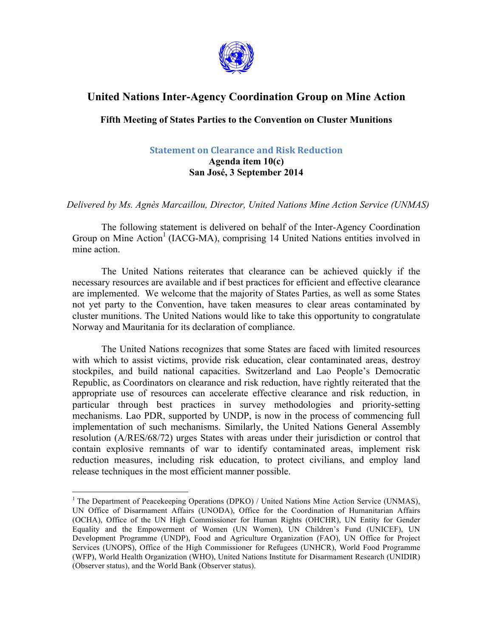

## **United Nations Inter-Agency Coordination Group on Mine Action**

## **Fifth Meeting of States Parties to the Convention on Cluster Munitions**

## **Statement on Clearance and Risk Reduction**

## **Agenda item 10(c) San José, 3 September 2014**

*Delivered by Ms. Agnès Marcaillou, Director, United Nations Mine Action Service (UNMAS)*

The following statement is delivered on behalf of the Inter-Agency Coordination Group on Mine Action<sup>1</sup> (IACG-MA), comprising 14 United Nations entities involved in mine action.

The United Nations reiterates that clearance can be achieved quickly if the necessary resources are available and if best practices for efficient and effective clearance are implemented. We welcome that the majority of States Parties, as well as some States not yet party to the Convention, have taken measures to clear areas contaminated by cluster munitions. The United Nations would like to take this opportunity to congratulate Norway and Mauritania for its declaration of compliance.

The United Nations recognizes that some States are faced with limited resources with which to assist victims, provide risk education, clear contaminated areas, destroy stockpiles, and build national capacities. Switzerland and Lao People's Democratic Republic, as Coordinators on clearance and risk reduction, have rightly reiterated that the appropriate use of resources can accelerate effective clearance and risk reduction, in particular through best practices in survey methodologies and priority-setting mechanisms. Lao PDR, supported by UNDP, is now in the process of commencing full implementation of such mechanisms. Similarly, the United Nations General Assembly resolution (A/RES/68/72) urges States with areas under their jurisdiction or control that contain explosive remnants of war to identify contaminated areas, implement risk reduction measures, including risk education, to protect civilians, and employ land release techniques in the most efficient manner possible.

<sup>&</sup>lt;sup>1</sup> The Department of Peacekeeping Operations (DPKO) / United Nations Mine Action Service (UNMAS), UN Office of Disarmament Affairs (UNODA), Office for the Coordination of Humanitarian Affairs (OCHA), Office of the UN High Commissioner for Human Rights (OHCHR), UN Entity for Gender Equality and the Empowerment of Women (UN Women), UN Children's Fund (UNICEF), UN Development Programme (UNDP), Food and Agriculture Organization (FAO), UN Office for Project Services (UNOPS), Office of the High Commissioner for Refugees (UNHCR), World Food Programme (WFP), World Health Organization (WHO), United Nations Institute for Disarmament Research (UNIDIR) (Observer status), and the World Bank (Observer status).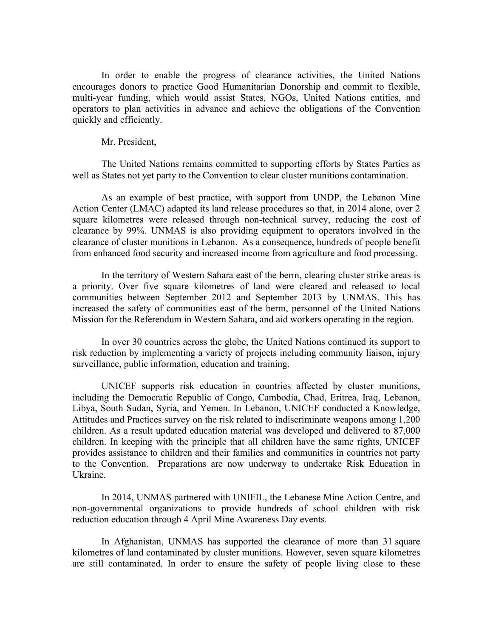In order to enable the progress of clearance activities, the United Nations encourages donors to practice Good Humanitarian Donorship and commit to flexible, multi-year funding, which would assist States, NGOs, United Nations entities, and operators to plan activities in advance and achieve the obligations of the Convention quickly and efficiently.

Mr. President,

The United Nations remains committed to supporting efforts by States Parties as well as States not yet party to the Convention to clear cluster munitions contamination.

As an example of best practice, with support from UNDP, the Lebanon Mine Action Center (LMAC) adapted its land release procedures so that, in 2014 alone, over 2 square kilometres were released through non-technical survey, reducing the cost of clearance by 99%. UNMAS is also providing equipment to operators involved in the clearance of cluster munitions in Lebanon. As a consequence, hundreds of people benefit from enhanced food security and increased income from agriculture and food processing.

In the territory of Western Sahara east of the berm, clearing cluster strike areas is a priority. Over five square kilometres of land were cleared and released to local communities between September 2012 and September 2013 by UNMAS. This has increased the safety of communities east of the berm, personnel of the United Nations Mission for the Referendum in Western Sahara, and aid workers operating in the region.

In over 30 countries across the globe, the United Nations continued its support to risk reduction by implementing a variety of projects including community liaison, injury surveillance, public information, education and training.

UNICEF supports risk education in countries affected by cluster munitions, including the Democratic Republic of Congo, Cambodia, Chad, Eritrea, Iraq, Lebanon, Libya, South Sudan, Syria, and Yemen. In Lebanon, UNICEF conducted a Knowledge, Attitudes and Practices survey on the risk related to indiscriminate weapons among 1,200 children. As a result updated education material was developed and delivered to 87,000 children. In keeping with the principle that all children have the same rights, UNICEF provides assistance to children and their families and communities in countries not party to the Convention. Preparations are now underway to undertake Risk Education in Ukraine.

In 2014, UNMAS partnered with UNIFIL, the Lebanese Mine Action Centre, and non-governmental organizations to provide hundreds of school children with risk reduction education through 4 April Mine Awareness Day events.

In Afghanistan, UNMAS has supported the clearance of more than 31 square kilometres of land contaminated by cluster munitions. However, seven square kilometres are still contaminated. In order to ensure the safety of people living close to these